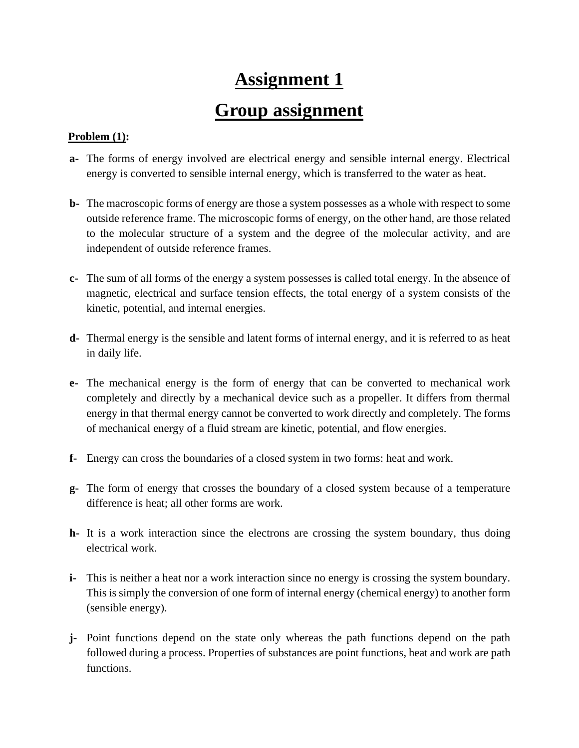# **Assignment 1**

## **Group assignment**

### **Problem (1):**

- **a-** The forms of energy involved are electrical energy and sensible internal energy. Electrical energy is converted to sensible internal energy, which is transferred to the water as heat.
- **b-** The macroscopic forms of energy are those a system possesses as a whole with respect to some outside reference frame. The microscopic forms of energy, on the other hand, are those related to the molecular structure of a system and the degree of the molecular activity, and are independent of outside reference frames.
- **c-** The sum of all forms of the energy a system possesses is called total energy. In the absence of magnetic, electrical and surface tension effects, the total energy of a system consists of the kinetic, potential, and internal energies.
- **d-** Thermal energy is the sensible and latent forms of internal energy, and it is referred to as heat in daily life.
- **e-** The mechanical energy is the form of energy that can be converted to mechanical work completely and directly by a mechanical device such as a propeller. It differs from thermal energy in that thermal energy cannot be converted to work directly and completely. The forms of mechanical energy of a fluid stream are kinetic, potential, and flow energies.
- **f-** Energy can cross the boundaries of a closed system in two forms: heat and work.
- **g-** The form of energy that crosses the boundary of a closed system because of a temperature difference is heat; all other forms are work.
- **h-** It is a work interaction since the electrons are crossing the system boundary, thus doing electrical work.
- **i-** This is neither a heat nor a work interaction since no energy is crossing the system boundary. This is simply the conversion of one form of internal energy (chemical energy) to another form (sensible energy).
- **j-** Point functions depend on the state only whereas the path functions depend on the path followed during a process. Properties of substances are point functions, heat and work are path functions.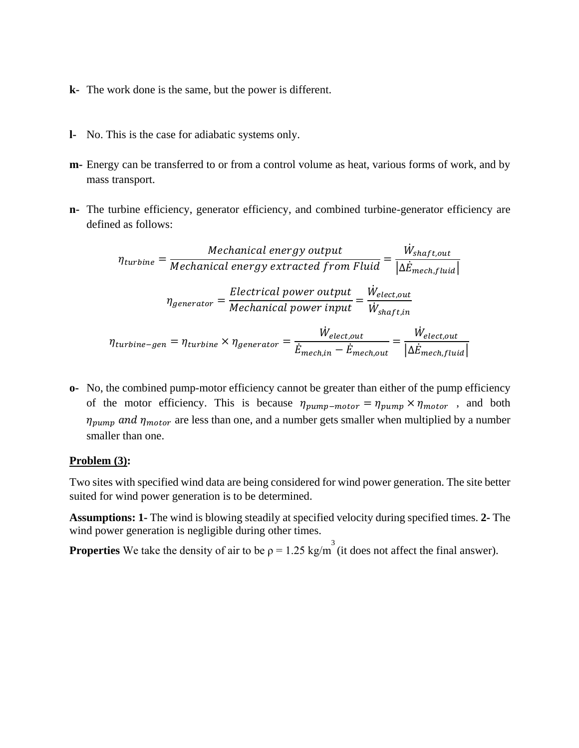- **k-** The work done is the same, but the power is different.
- **l-** No. This is the case for adiabatic systems only.
- **m-** Energy can be transferred to or from a control volume as heat, various forms of work, and by mass transport.
- **n-** The turbine efficiency, generator efficiency, and combined turbine-generator efficiency are defined as follows:

$$
\eta_{turbine} = \frac{Mechanical\ energy\ output}{Mechanical\ energy\ extracted\ from\ Fluid} = \frac{\dot{W}_{shaff,out}}{|\Delta \dot{E}_{mech, fluid}|}
$$
\n
$$
\eta_{generator} = \frac{Electrical\ power\ output}{Mechanical\ power\ input} = \frac{\dot{W}_{elect,out}}{\dot{W}_{shaff,in}}
$$
\n
$$
\eta_{turbine-gen} = \eta_{turbine} \times \eta_{generator} = \frac{\dot{W}_{elect,out}}{\dot{E}_{mech,in} - \dot{E}_{mech,out}} = \frac{\dot{W}_{elect,out}}{|\Delta \dot{E}_{mech, fluid}|}
$$

**o-** No, the combined pump-motor efficiency cannot be greater than either of the pump efficiency of the motor efficiency. This is because  $\eta_{pump-motor} = \eta_{pump} \times \eta_{motor}$ , and both  $\eta_{\text{pump}}$  and  $\eta_{\text{motor}}$  are less than one, and a number gets smaller when multiplied by a number smaller than one.

#### **Problem (3):**

Two sites with specified wind data are being considered for wind power generation. The site better suited for wind power generation is to be determined.

**Assumptions: 1-** The wind is blowing steadily at specified velocity during specified times. **2-** The wind power generation is negligible during other times.

**Properties** We take the density of air to be  $\rho = 1.25 \text{ kg/m}^3$  (it does not affect the final answer).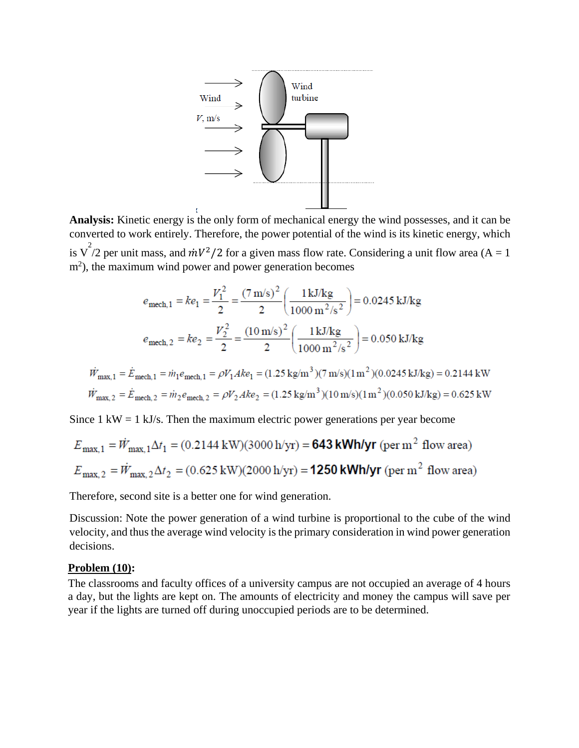

**Analysis:** Kinetic energy is the only form of mechanical energy the wind possesses, and it can be converted to work entirely. Therefore, the power potential of the wind is its kinetic energy, which is  $\sqrt{2}/2$  per unit mass, and  $\dot{m}V^2/2$  for a given mass flow rate. Considering a unit flow area (A = 1) m<sup>2</sup>), the maximum wind power and power generation becomes

$$
e_{\text{mech},1} = ke_1 = \frac{V_1^2}{2} = \frac{(7 \text{ m/s})^2}{2} \left(\frac{1 \text{ kJ/kg}}{1000 \text{ m}^2/\text{s}^2}\right) = 0.0245 \text{ kJ/kg}
$$

$$
e_{\text{mech},2} = ke_2 = \frac{V_2^2}{2} = \frac{(10 \text{ m/s})^2}{2} \left(\frac{1 \text{ kJ/kg}}{1000 \text{ m}^2/\text{s}^2}\right) = 0.050 \text{ kJ/kg}
$$

$$
\dot{W}_{\text{max},1} = \dot{E}_{\text{mech},1} = \dot{m}_1 e_{\text{mech},1} = \rho V_1 A k e_1 = (1.25 \text{ kg/m}^3)(7 \text{ m/s})(1 \text{ m}^2)(0.0245 \text{ kJ/kg}) = 0.2144 \text{ kW}
$$
\n
$$
\dot{W}_{\text{max},2} = \dot{E}_{\text{mech},2} = \dot{m}_2 e_{\text{mech},2} = \rho V_2 A k e_2 = (1.25 \text{ kg/m}^3)(10 \text{ m/s})(1 \text{ m}^2)(0.050 \text{ kJ/kg}) = 0.625 \text{ kW}
$$

Since  $1 \text{ kW} = 1 \text{ kJ/s}$ . Then the maximum electric power generations per year become

$$
E_{\text{max},1} = \dot{W}_{\text{max},1} \Delta t_1 = (0.2144 \text{ kW})(3000 \text{ h/yr}) = 643 \text{ kWh/yr (per m}^2 \text{ flow area})
$$
  

$$
E_{\text{max},2} = \dot{W}_{\text{max},2} \Delta t_2 = (0.625 \text{ kW})(2000 \text{ h/yr}) = 1250 \text{ kWh/yr (per m}^2 \text{ flow area})
$$

Therefore, second site is a better one for wind generation.

Discussion: Note the power generation of a wind turbine is proportional to the cube of the wind velocity, and thus the average wind velocity is the primary consideration in wind power generation decisions.

#### **Problem (10):**

The classrooms and faculty offices of a university campus are not occupied an average of 4 hours a day, but the lights are kept on. The amounts of electricity and money the campus will save per year if the lights are turned off during unoccupied periods are to be determined.